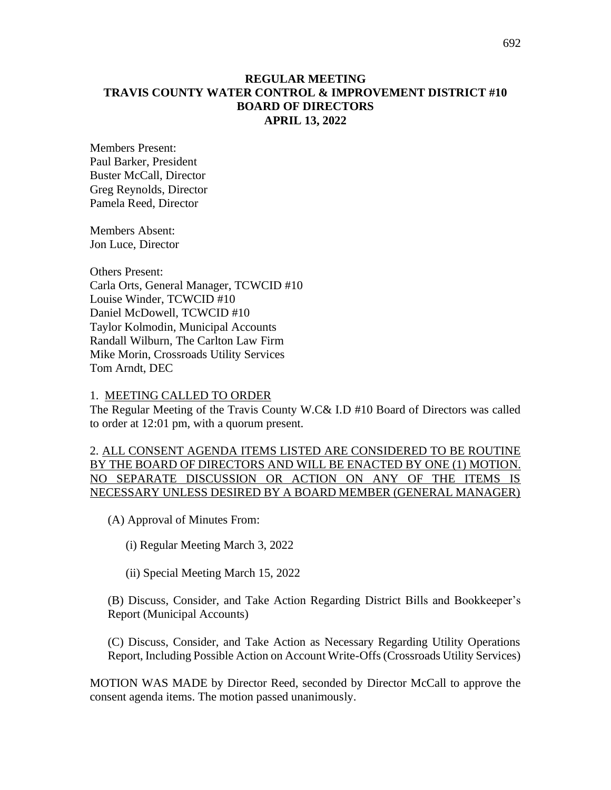#### **REGULAR MEETING TRAVIS COUNTY WATER CONTROL & IMPROVEMENT DISTRICT #10 BOARD OF DIRECTORS APRIL 13, 2022**

Members Present: Paul Barker, President Buster McCall, Director Greg Reynolds, Director Pamela Reed, Director

Members Absent: Jon Luce, Director

Others Present: Carla Orts, General Manager, TCWCID #10 Louise Winder, TCWCID #10 Daniel McDowell, TCWCID #10 Taylor Kolmodin, Municipal Accounts Randall Wilburn, The Carlton Law Firm Mike Morin, Crossroads Utility Services Tom Arndt, DEC

#### 1. MEETING CALLED TO ORDER

The Regular Meeting of the Travis County W.C& I.D #10 Board of Directors was called to order at 12:01 pm, with a quorum present.

#### 2. ALL CONSENT AGENDA ITEMS LISTED ARE CONSIDERED TO BE ROUTINE BY THE BOARD OF DIRECTORS AND WILL BE ENACTED BY ONE (1) MOTION. NO SEPARATE DISCUSSION OR ACTION ON ANY OF THE ITEMS IS NECESSARY UNLESS DESIRED BY A BOARD MEMBER (GENERAL MANAGER)

(A) Approval of Minutes From:

(i) Regular Meeting March 3, 2022

(ii) Special Meeting March 15, 2022

(B) Discuss, Consider, and Take Action Regarding District Bills and Bookkeeper's Report (Municipal Accounts)

(C) Discuss, Consider, and Take Action as Necessary Regarding Utility Operations Report, Including Possible Action on Account Write-Offs (Crossroads Utility Services)

MOTION WAS MADE by Director Reed, seconded by Director McCall to approve the consent agenda items. The motion passed unanimously.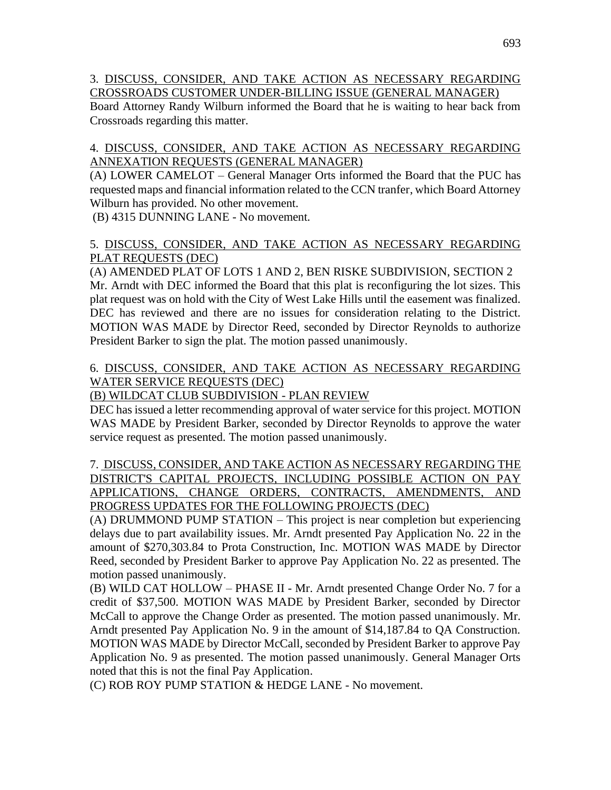3. DISCUSS, CONSIDER, AND TAKE ACTION AS NECESSARY REGARDING CROSSROADS CUSTOMER UNDER-BILLING ISSUE (GENERAL MANAGER)

Board Attorney Randy Wilburn informed the Board that he is waiting to hear back from Crossroads regarding this matter.

## 4. DISCUSS, CONSIDER, AND TAKE ACTION AS NECESSARY REGARDING ANNEXATION REQUESTS (GENERAL MANAGER)

(A) LOWER CAMELOT – General Manager Orts informed the Board that the PUC has requested maps and financial information related to the CCN tranfer, which Board Attorney Wilburn has provided. No other movement.

(B) 4315 DUNNING LANE - No movement.

## 5. DISCUSS, CONSIDER, AND TAKE ACTION AS NECESSARY REGARDING PLAT REQUESTS (DEC)

(A) AMENDED PLAT OF LOTS 1 AND 2, BEN RISKE SUBDIVISION, SECTION 2 Mr. Arndt with DEC informed the Board that this plat is reconfiguring the lot sizes. This plat request was on hold with the City of West Lake Hills until the easement was finalized. DEC has reviewed and there are no issues for consideration relating to the District. MOTION WAS MADE by Director Reed, seconded by Director Reynolds to authorize President Barker to sign the plat. The motion passed unanimously.

# 6. DISCUSS, CONSIDER, AND TAKE ACTION AS NECESSARY REGARDING WATER SERVICE REQUESTS (DEC)

# (B) WILDCAT CLUB SUBDIVISION - PLAN REVIEW

DEC has issued a letter recommending approval of water service for this project. MOTION WAS MADE by President Barker, seconded by Director Reynolds to approve the water service request as presented. The motion passed unanimously.

### 7. DISCUSS, CONSIDER, AND TAKE ACTION AS NECESSARY REGARDING THE DISTRICT'S CAPITAL PROJECTS, INCLUDING POSSIBLE ACTION ON PAY APPLICATIONS, CHANGE ORDERS, CONTRACTS, AMENDMENTS, AND PROGRESS UPDATES FOR THE FOLLOWING PROJECTS (DEC)

(A) DRUMMOND PUMP STATION – This project is near completion but experiencing delays due to part availability issues. Mr. Arndt presented Pay Application No. 22 in the amount of \$270,303.84 to Prota Construction, Inc. MOTION WAS MADE by Director Reed, seconded by President Barker to approve Pay Application No. 22 as presented. The motion passed unanimously.

(B) WILD CAT HOLLOW – PHASE II - Mr. Arndt presented Change Order No. 7 for a credit of \$37,500. MOTION WAS MADE by President Barker, seconded by Director McCall to approve the Change Order as presented. The motion passed unanimously. Mr. Arndt presented Pay Application No. 9 in the amount of \$14,187.84 to QA Construction. MOTION WAS MADE by Director McCall, seconded by President Barker to approve Pay Application No. 9 as presented. The motion passed unanimously. General Manager Orts noted that this is not the final Pay Application.

(C) ROB ROY PUMP STATION & HEDGE LANE - No movement.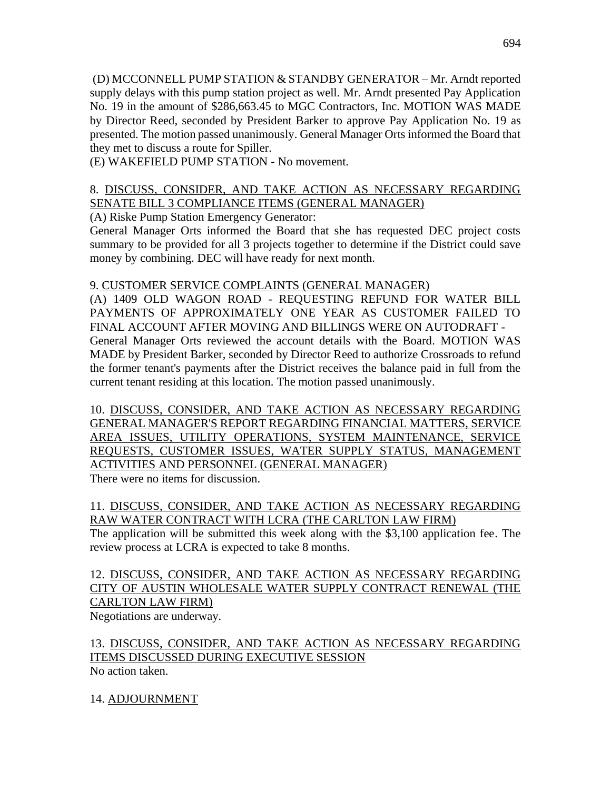(D) MCCONNELL PUMP STATION & STANDBY GENERATOR – Mr. Arndt reported supply delays with this pump station project as well. Mr. Arndt presented Pay Application No. 19 in the amount of \$286,663.45 to MGC Contractors, Inc. MOTION WAS MADE by Director Reed, seconded by President Barker to approve Pay Application No. 19 as presented. The motion passed unanimously. General Manager Orts informed the Board that they met to discuss a route for Spiller.

(E) WAKEFIELD PUMP STATION - No movement.

#### 8. DISCUSS, CONSIDER, AND TAKE ACTION AS NECESSARY REGARDING SENATE BILL 3 COMPLIANCE ITEMS (GENERAL MANAGER)

(A) Riske Pump Station Emergency Generator:

General Manager Orts informed the Board that she has requested DEC project costs summary to be provided for all 3 projects together to determine if the District could save money by combining. DEC will have ready for next month.

## 9. CUSTOMER SERVICE COMPLAINTS (GENERAL MANAGER)

(A) 1409 OLD WAGON ROAD - REQUESTING REFUND FOR WATER BILL PAYMENTS OF APPROXIMATELY ONE YEAR AS CUSTOMER FAILED TO FINAL ACCOUNT AFTER MOVING AND BILLINGS WERE ON AUTODRAFT - General Manager Orts reviewed the account details with the Board. MOTION WAS MADE by President Barker, seconded by Director Reed to authorize Crossroads to refund the former tenant's payments after the District receives the balance paid in full from the current tenant residing at this location. The motion passed unanimously.

10. DISCUSS, CONSIDER, AND TAKE ACTION AS NECESSARY REGARDING GENERAL MANAGER'S REPORT REGARDING FINANCIAL MATTERS, SERVICE AREA ISSUES, UTILITY OPERATIONS, SYSTEM MAINTENANCE, SERVICE REQUESTS, CUSTOMER ISSUES, WATER SUPPLY STATUS, MANAGEMENT ACTIVITIES AND PERSONNEL (GENERAL MANAGER)

There were no items for discussion.

## 11. DISCUSS, CONSIDER, AND TAKE ACTION AS NECESSARY REGARDING RAW WATER CONTRACT WITH LCRA (THE CARLTON LAW FIRM)

The application will be submitted this week along with the \$3,100 application fee. The review process at LCRA is expected to take 8 months.

#### 12. DISCUSS, CONSIDER, AND TAKE ACTION AS NECESSARY REGARDING CITY OF AUSTIN WHOLESALE WATER SUPPLY CONTRACT RENEWAL (THE CARLTON LAW FIRM) Negotiations are underway.

13. DISCUSS, CONSIDER, AND TAKE ACTION AS NECESSARY REGARDING ITEMS DISCUSSED DURING EXECUTIVE SESSION No action taken.

14. ADJOURNMENT